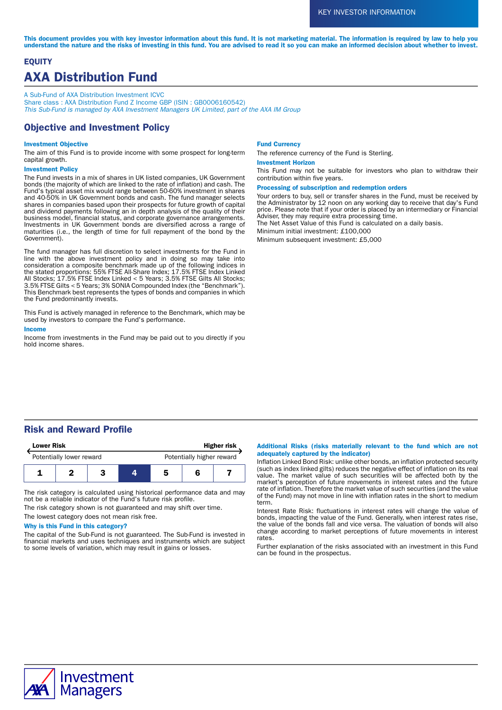This document provides you with key investor information about this fund. It is not marketing material. The information is required by law to help you understand the nature and the risks of investing in this fund. You are advised to read it so you can make an informed decision about whether to invest.

# **EQUITY** AXA Distribution Fund

A Sub-Fund of AXA Distribution Investment ICVC Share class : AXA Distribution Fund Z Income GBP (ISIN : GB0006160542) This Sub-Fund is managed by AXA Investment Managers UK Limited, part of the AXA IM Group

# Objective and Investment Policy

### Investment Objective

The aim of this Fund is to provide income with some prospect for long-term capital growth.

#### Investment Policy

The Fund invests in a mix of shares in UK listed companies, UK Government bonds (the majority of which are linked to the rate of inflation) and cash. The Fund's typical asset mix would range between 50-60% investment in shares and 40-50% in UK Government bonds and cash. The fund manager selects shares in companies based upon their prospects for future growth of capital and dividend payments following an in depth analysis of the quality of their business model, financial status, and corporate governance arrangements. Investments in UK Government bonds are diversified across a range of maturities (i.e., the length of time for full repayment of the bond by the Government).

The fund manager has full discretion to select investments for the Fund in line with the above investment policy and in doing so may take into consideration a composite benchmark made up of the following indices in the stated proportions: 55% FTSE All-Share Index; 17.5% FTSE Index Linked All Stocks; 17.5% FTSE Index Linked < 5 Years; 3.5% FTSE Gilts All Stocks; 3.5% FTSE Gilts < 5 Years; 3% SONIA Compounded Index (the "Benchmark"). This Benchmark best represents the types of bonds and companies in which the Fund predominantly invests.

This Fund is actively managed in reference to the Benchmark, which may be used by investors to compare the Fund's performance.

### Income

Income from investments in the Fund may be paid out to you directly if you hold income shares.

#### Fund Currency

The reference currency of the Fund is Sterling.

### Investment Horizon

This Fund may not be suitable for investors who plan to withdraw their contribution within five years.

### Processing of subscription and redemption orders

Your orders to buy, sell or transfer shares in the Fund, must be received by the Administrator by 12 noon on any working day to receive that day's Fund price. Please note that if your order is placed by an intermediary or Financial Adviser, they may require extra processing time.

The Net Asset Value of this Fund is calculated on a daily basis.

Minimum initial investment: £100,000

Minimum subsequent investment: £5,000

# Risk and Reward Profile



The risk category is calculated using historical performance data and may not be a reliable indicator of the Fund's future risk profile.

The risk category shown is not guaranteed and may shift over time.

The lowest category does not mean risk free.

### Why is this Fund in this category?

The capital of the Sub-Fund is not guaranteed. The Sub-Fund is invested in financial markets and uses techniques and instruments which are subject to some levels of variation, which may result in gains or losses.

### Additional Risks (risks materially relevant to the fund which are not adequately captured by the indicator)

Inflation Linked Bond Risk: unlike other bonds, an inflation protected security (such as index linked gilts) reduces the negative effect of inflation on its real value. The market value of such securities will be affected both by the market's perception of future movements in interest rates and the future rate of inflation. Therefore the market value of such securities (and the value of the Fund) may not move in line with inflation rates in the short to medium term.

Interest Rate Risk: fluctuations in interest rates will change the value of bonds, impacting the value of the Fund. Generally, when interest rates rise, the value of the bonds fall and vice versa. The valuation of bonds will also change according to market perceptions of future movements in interest rates.

Further explanation of the risks associated with an investment in this Fund can be found in the prospectus.